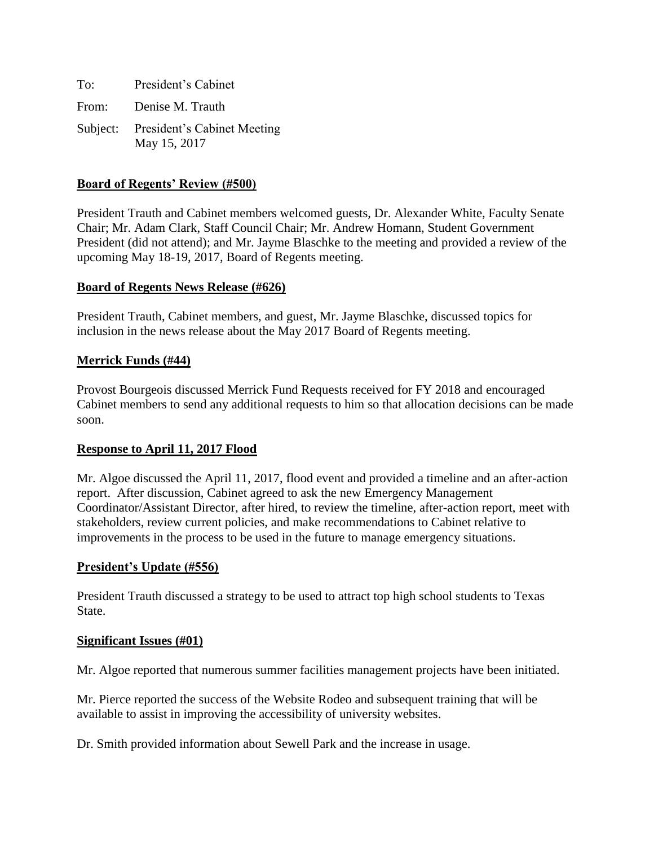| To: | President's Cabinet                                  |
|-----|------------------------------------------------------|
|     | From: Denise M. Trauth                               |
|     | Subject: President's Cabinet Meeting<br>May 15, 2017 |

## **Board of Regents' Review (#500)**

President Trauth and Cabinet members welcomed guests, Dr. Alexander White, Faculty Senate Chair; Mr. Adam Clark, Staff Council Chair; Mr. Andrew Homann, Student Government President (did not attend); and Mr. Jayme Blaschke to the meeting and provided a review of the upcoming May 18-19, 2017, Board of Regents meeting.

### **Board of Regents News Release (#626)**

President Trauth, Cabinet members, and guest, Mr. Jayme Blaschke, discussed topics for inclusion in the news release about the May 2017 Board of Regents meeting.

### **Merrick Funds (#44)**

Provost Bourgeois discussed Merrick Fund Requests received for FY 2018 and encouraged Cabinet members to send any additional requests to him so that allocation decisions can be made soon.

#### **Response to April 11, 2017 Flood**

Mr. Algoe discussed the April 11, 2017, flood event and provided a timeline and an after-action report. After discussion, Cabinet agreed to ask the new Emergency Management Coordinator/Assistant Director, after hired, to review the timeline, after-action report, meet with stakeholders, review current policies, and make recommendations to Cabinet relative to improvements in the process to be used in the future to manage emergency situations.

#### **President's Update (#556)**

President Trauth discussed a strategy to be used to attract top high school students to Texas State.

#### **Significant Issues (#01)**

Mr. Algoe reported that numerous summer facilities management projects have been initiated.

Mr. Pierce reported the success of the Website Rodeo and subsequent training that will be available to assist in improving the accessibility of university websites.

Dr. Smith provided information about Sewell Park and the increase in usage.